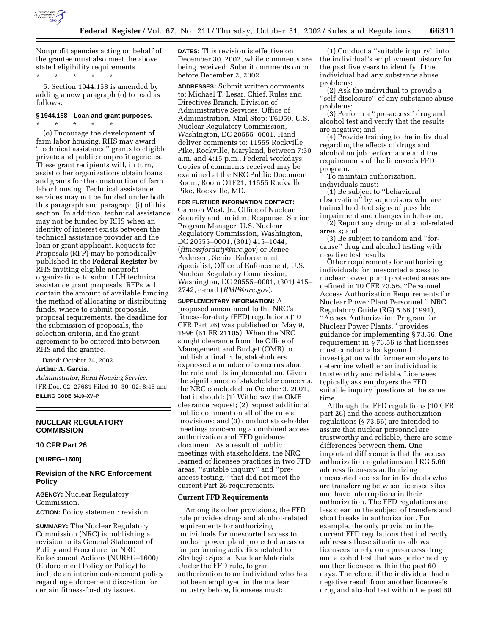

Nonprofit agencies acting on behalf of the grantee must also meet the above stated eligibility requirements. \* \* \* \* \*

5. Section 1944.158 is amended by adding a new paragraph (o) to read as follows:

## **§ 1944.158 Loan and grant purposes.**

\* \* \* \* \* (o) Encourage the development of farm labor housing. RHS may award ''technical assistance'' grants to eligible private and public nonprofit agencies. These grant recipients will, in turn, assist other organizations obtain loans and grants for the construction of farm labor housing. Technical assistance services may not be funded under both this paragraph and paragraph (i) of this section. In addition, technical assistance may not be funded by RHS when an identity of interest exists between the technical assistance provider and the loan or grant applicant. Requests for Proposals (RFP) may be periodically published in the **Federal Register** by RHS inviting eligible nonprofit organizations to submit LH technical assistance grant proposals. RFPs will contain the amount of available funding, the method of allocating or distributing funds, where to submit proposals, proposal requirements, the deadline for the submission of proposals, the selection criteria, and the grant agreement to be entered into between RHS and the grantee.

Dated: October 24, 2002. **Arthur A. Garcia,** 

*Administrator, Rural Housing Service.* [FR Doc. 02–27681 Filed 10–30–02; 8:45 am] **BILLING CODE 3410–XV–P**

## **NUCLEAR REGULATORY COMMISSION**

## **10 CFR Part 26**

## **[NUREG–1600]**

# **Revision of the NRC Enforcement Policy**

**AGENCY:** Nuclear Regulatory Commission. **ACTION:** Policy statement: revision.

**SUMMARY:** The Nuclear Regulatory Commission (NRC) is publishing a revision to its General Statement of Policy and Procedure for NRC Enforcement Actions (NUREG–1600) (Enforcement Policy or Policy) to include an interim enforcement policy regarding enforcement discretion for certain fitness-for-duty issues.

**DATES:** This revision is effective on December 30, 2002, while comments are being received. Submit comments on or before December 2, 2002.

**ADDRESSES:** Submit written comments to: Michael T. Lesar, Chief, Rules and Directives Branch, Division of Administrative Services, Office of Administration, Mail Stop: T6D59, U.S. Nuclear Regulatory Commission, Washington, DC 20555–0001. Hand deliver comments to: 11555 Rockville Pike, Rockville, Maryland, between 7:30 a.m. and 4:15 p.m., Federal workdays. Copies of comments received may be examined at the NRC Public Document Room, Room O1F21, 11555 Rockville Pike, Rockville, MD.

**FOR FURTHER INFORMATION CONTACT:** Garmon West, Jr., Office of Nuclear Security and Incident Response, Senior Program Manager, U.S. Nuclear Regulatory Commission, Washington, DC 20555–0001, (301) 415–1044, (*fitnessforduty@nrc.gov*) or Renee Pedersen, Senior Enforcement Specialist, Office of Enforcement, U.S. Nuclear Regulatory Commission, Washington, DC 20555–0001, (301) 415– 2742, e-mail (*RMP@nrc.gov*).

**SUPPLEMENTARY INFORMATION:** A proposed amendment to the NRC's fitness-for-duty (FFD) regulations (10 CFR Part 26) was published on May 9, 1996 (61 FR 21105). When the NRC sought clearance from the Office of Management and Budget (OMB) to publish a final rule, stakeholders expressed a number of concerns about the rule and its implementation. Given the significance of stakeholder concerns, the NRC concluded on October 3, 2001, that it should: (1) Withdraw the OMB clearance request; (2) request additional public comment on all of the rule's provisions; and (3) conduct stakeholder meetings concerning a combined access authorization and FFD guidance document. As a result of public meetings with stakeholders, the NRC learned of licensee practices in two FFD areas, ''suitable inquiry'' and ''preaccess testing,'' that did not meet the current Part 26 requirements.

### **Current FFD Requirements**

Among its other provisions, the FFD rule provides drug- and alcohol-related requirements for authorizing individuals for unescorted access to nuclear power plant protected areas or for performing activities related to Strategic Special Nuclear Materials. Under the FFD rule, to grant authorization to an individual who has not been employed in the nuclear industry before, licensees must:

(1) Conduct a ''suitable inquiry'' into the individual's employment history for the past five years to identify if the individual had any substance abuse problems;

(2) Ask the individual to provide a ''self-disclosure'' of any substance abuse problems;

(3) Perform a ''pre-access'' drug and alcohol test and verify that the results are negative; and

(4) Provide training to the individual regarding the effects of drugs and alcohol on job performance and the requirements of the licensee's FFD program.

To maintain authorization, individuals must:

(1) Be subject to ''behavioral observation'' by supervisors who are trained to detect signs of possible impairment and changes in behavior;

(2) Report any drug- or alcohol-related arrests; and

(3) Be subject to random and ''forcause'' drug and alcohol testing with negative test results.

Other requirements for authorizing individuals for unescorted access to nuclear power plant protected areas are defined in 10 CFR 73.56, ''Personnel Access Authorization Requirements for Nuclear Power Plant Personnel.'' NRC Regulatory Guide (RG) 5.66 (1991), ''Access Authorization Program for Nuclear Power Plants,'' provides guidance for implementing § 73.56. One requirement in § 73.56 is that licensees must conduct a background investigation with former employers to determine whether an individual is trustworthy and reliable. Licensees typically ask employers the FFD suitable inquiry questions at the same time.

Although the FFD regulations (10 CFR part 26) and the access authorization regulations (§ 73.56) are intended to assure that nuclear personnel are trustworthy and reliable, there are some differences between them. One important difference is that the access authorization regulations and RG 5.66 address licensees authorizing unescorted access for individuals who are transferring between licensee sites and have interruptions in their authorization. The FFD regulations are less clear on the subject of transfers and short breaks in authorization. For example, the only provision in the current FFD regulations that indirectly addresses these situations allows licensees to rely on a pre-access drug and alcohol test that was performed by another licensee within the past 60 days. Therefore, if the individual had a negative result from another licensee's drug and alcohol test within the past 60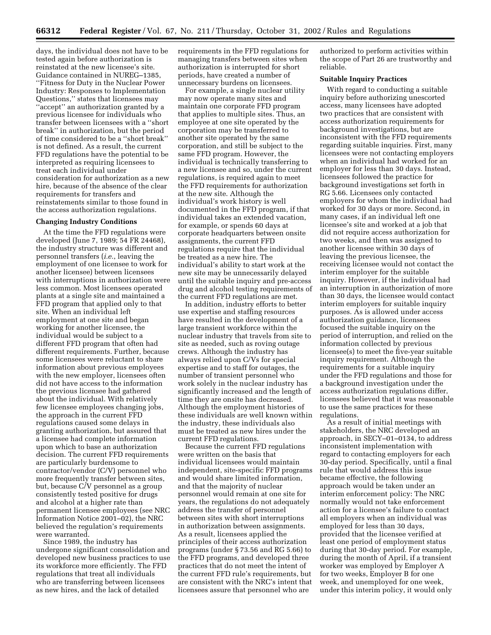days, the individual does not have to be tested again before authorization is reinstated at the new licensee's site. Guidance contained in NUREG–1385, ''Fitness for Duty in the Nuclear Power Industry: Responses to Implementation Questions,'' states that licensees may ''accept'' an authorization granted by a previous licensee for individuals who transfer between licensees with a ''short break'' in authorization, but the period of time considered to be a ''short break'' is not defined. As a result, the current FFD regulations have the potential to be interpreted as requiring licensees to treat each individual under consideration for authorization as a new hire, because of the absence of the clear requirements for transfers and reinstatements similar to those found in the access authorization regulations.

## **Changing Industry Conditions**

At the time the FFD regulations were developed (June 7, 1989; 54 FR 24468), the industry structure was different and personnel transfers (*i.e.*, leaving the employment of one licensee to work for another licensee) between licensees with interruptions in authorization were less common. Most licensees operated plants at a single site and maintained a FFD program that applied only to that site. When an individual left employment at one site and began working for another licensee, the individual would be subject to a different FFD program that often had different requirements. Further, because some licensees were reluctant to share information about previous employees with the new employer, licensees often did not have access to the information the previous licensee had gathered about the individual. With relatively few licensee employees changing jobs, the approach in the current FFD regulations caused some delays in granting authorization, but assured that a licensee had complete information upon which to base an authorization decision. The current FFD requirements are particularly burdensome to contractor/vendor (C/V) personnel who more frequently transfer between sites, but, because C/V personnel as a group consistently tested positive for drugs and alcohol at a higher rate than permanent licensee employees (see NRC Information Notice 2001–02), the NRC believed the regulation's requirements were warranted.

Since 1989, the industry has undergone significant consolidation and developed new business practices to use its workforce more efficiently. The FFD regulations that treat all individuals who are transferring between licensees as new hires, and the lack of detailed

requirements in the FFD regulations for managing transfers between sites when authorization is interrupted for short periods, have created a number of unnecessary burdens on licensees.

For example, a single nuclear utility may now operate many sites and maintain one corporate FFD program that applies to multiple sites. Thus, an employee at one site operated by the corporation may be transferred to another site operated by the same corporation, and still be subject to the same FFD program. However, the individual is technically transferring to a new licensee and so, under the current regulations, is required again to meet the FFD requirements for authorization at the new site. Although the individual's work history is well documented in the FFD program, if that individual takes an extended vacation, for example, or spends 60 days at corporate headquarters between onsite assignments, the current FFD regulations require that the individual be treated as a new hire. The individual's ability to start work at the new site may be unnecessarily delayed until the suitable inquiry and pre-access drug and alcohol testing requirements of the current FFD regulations are met.

In addition, industry efforts to better use expertise and staffing resources have resulted in the development of a large transient workforce within the nuclear industry that travels from site to site as needed, such as roving outage crews. Although the industry has always relied upon C/Vs for special expertise and to staff for outages, the number of transient personnel who work solely in the nuclear industry has significantly increased and the length of time they are onsite has decreased. Although the employment histories of these individuals are well known within the industry, these individuals also must be treated as new hires under the current FFD regulations.

Because the current FFD regulations were written on the basis that individual licensees would maintain independent, site-specific FFD programs and would share limited information, and that the majority of nuclear personnel would remain at one site for years, the regulations do not adequately address the transfer of personnel between sites with short interruptions in authorization between assignments. As a result, licensees applied the principles of their access authorization programs (under § 73.56 and RG 5.66) to the FFD programs, and developed three practices that do not meet the intent of the current FFD rule's requirements, but are consistent with the NRC's intent that licensees assure that personnel who are

authorized to perform activities within the scope of Part 26 are trustworthy and reliable.

## **Suitable Inquiry Practices**

With regard to conducting a suitable inquiry before authorizing unescorted access, many licensees have adopted two practices that are consistent with access authorization requirements for background investigations, but are inconsistent with the FFD requirements regarding suitable inquiries. First, many licensees were not contacting employers when an individual had worked for an employer for less than 30 days. Instead, licensees followed the practice for background investigations set forth in RG 5.66. Licensees only contacted employers for whom the individual had worked for 30 days or more. Second, in many cases, if an individual left one licensee's site and worked at a job that did not require access authorization for two weeks, and then was assigned to another licensee within 30 days of leaving the previous licensee, the receiving licensee would not contact the interim employer for the suitable inquiry. However, if the individual had an interruption in authorization of more than 30 days, the licensee would contact interim employers for suitable inquiry purposes. As is allowed under access authorization guidance, licensees focused the suitable inquiry on the period of interruption, and relied on the information collected by previous licensee(s) to meet the five-year suitable inquiry requirement. Although the requirements for a suitable inquiry under the FFD regulations and those for a background investigation under the access authorization regulations differ, licensees believed that it was reasonable to use the same practices for these regulations.

As a result of initial meetings with stakeholders, the NRC developed an approach, in SECY–01–0134, to address inconsistent implementation with regard to contacting employers for each 30-day period. Specifically, until a final rule that would address this issue became effective, the following approach would be taken under an interim enforcement policy: The NRC normally would not take enforcement action for a licensee's failure to contact all employers when an individual was employed for less than 30 days, provided that the licensee verified at least one period of employment status during that 30-day period. For example, during the month of April, if a transient worker was employed by Employer A for two weeks, Employer B for one week, and unemployed for one week, under this interim policy, it would only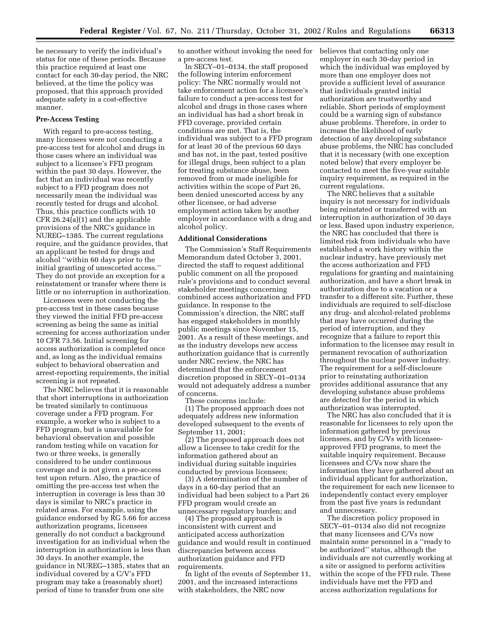be necessary to verify the individual's status for one of these periods. Because this practice required at least one contact for each 30-day period, the NRC believed, at the time the policy was proposed, that this approach provided adequate safety in a cost-effective manner.

#### **Pre-Access Testing**

With regard to pre-access testing, many licensees were not conducting a pre-access test for alcohol and drugs in those cases where an individual was subject to a licensee's FFD program within the past 30 days. However, the fact that an individual was recently subject to a FFD program does not necessarily mean the individual was recently tested for drugs and alcohol. Thus, this practice conflicts with 10 CFR 26.24(a)(1) and the applicable provisions of the NRC's guidance in NUREG–1385. The current regulations require, and the guidance provides, that an applicant be tested for drugs and alcohol ''within 60 days prior to the initial granting of unescorted access.'' They do not provide an exception for a reinstatement or transfer where there is little or no interruption in authorization.

Licensees were not conducting the pre-access test in these cases because they viewed the initial FFD pre-access screening as being the same as initial screening for access authorization under 10 CFR 73.56. Initial screening for access authorization is completed once and, as long as the individual remains subject to behavioral observation and arrest-reporting requirements, the initial screening is not repeated.

The NRC believes that it is reasonable that short interruptions in authorization be treated similarly to continuous coverage under a FFD program. For example, a worker who is subject to a FFD program, but is unavailable for behavioral observation and possible random testing while on vacation for two or three weeks, is generally considered to be under continuous coverage and is not given a pre-access test upon return. Also, the practice of omitting the pre-access test when the interruption in coverage is less than 30 days is similar to NRC's practice in related areas. For example, using the guidance endorsed by RG 5.66 for access authorization programs, licensees generally do not conduct a background investigation for an individual when the interruption in authorization is less than 30 days. In another example, the guidance in NUREG–1385, states that an individual covered by a C/V's FFD program may take a (reasonably short) period of time to transfer from one site

to another without invoking the need for believes that contacting only one a pre-access test.

In SECY–01–0134, the staff proposed the following interim enforcement policy: The NRC normally would not take enforcement action for a licensee's failure to conduct a pre-access test for alcohol and drugs in those cases where an individual has had a short break in FFD coverage, provided certain conditions are met. That is, the individual was subject to a FFD program for at least 30 of the previous 60 days and has not, in the past, tested positive for illegal drugs, been subject to a plan for treating substance abuse, been removed from or made ineligible for activities within the scope of Part 26, been denied unescorted access by any other licensee, or had adverse employment action taken by another employer in accordance with a drug and alcohol policy.

### **Additional Considerations**

The Commission's Staff Requirements Memorandum dated October 3, 2001, directed the staff to request additional public comment on all the proposed rule's provisions and to conduct several stakeholder meetings concerning combined access authorization and FFD guidance. In response to the Commission's direction, the NRC staff has engaged stakeholders in monthly public meetings since November 15, 2001. As a result of these meetings, and as the industry develops new access authorization guidance that is currently under NRC review, the NRC has determined that the enforcement discretion proposed in SECY–01–0134 would not adequately address a number of concerns.

These concerns include: (1) The proposed approach does not adequately address new information developed subsequent to the events of September 11, 2001;

(2) The proposed approach does not allow a licensee to take credit for the information gathered about an individual during suitable inquiries conducted by previous licensees;

(3) A determination of the number of days in a 60-day period that an individual had been subject to a Part 26 FFD program would create an unnecessary regulatory burden; and

(4) The proposed approach is inconsistent with current and anticipated access authorization guidance and would result in continued discrepancies between access authorization guidance and FFD requirements.

In light of the events of September 11, 2001, and the increased interactions with stakeholders, the NRC now

employer in each 30-day period in which the individual was employed by more than one employer does not provide a sufficient level of assurance that individuals granted initial authorization are trustworthy and reliable. Short periods of employment could be a warning sign of substance abuse problems. Therefore, in order to increase the likelihood of early detection of any developing substance abuse problems, the NRC has concluded that it is necessary (with one exception noted below) that every employer be contacted to meet the five-year suitable inquiry requirement, as required in the current regulations.

The NRC believes that a suitable inquiry is not necessary for individuals being reinstated or transferred with an interruption in authorization of 30 days or less. Based upon industry experience, the NRC has concluded that there is limited risk from individuals who have established a work history within the nuclear industry, have previously met the access authorization and FFD regulations for granting and maintaining authorization, and have a short break in authorization due to a vacation or a transfer to a different site. Further, these individuals are required to self-disclose any drug- and alcohol-related problems that may have occurred during the period of interruption, and they recognize that a failure to report this information to the licensee may result in permanent revocation of authorization throughout the nuclear power industry. The requirement for a self-disclosure prior to reinstating authorization provides additional assurance that any developing substance abuse problems are detected for the period in which authorization was interrupted.

The NRC has also concluded that it is reasonable for licensees to rely upon the information gathered by previous licensees, and by C/Vs with licenseeapproved FFD programs, to meet the suitable inquiry requirement. Because licensees and C/Vs now share the information they have gathered about an individual applicant for authorization, the requirement for each new licensee to independently contact every employer from the past five years is redundant and unnecessary.

The discretion policy proposed in SECY–01–0134 also did not recognize that many licensees and C/Vs now maintain some personnel in a ''ready to be authorized'' status, although the individuals are not currently working at a site or assigned to perform activities within the scope of the FFD rule. These individuals have met the FFD and access authorization regulations for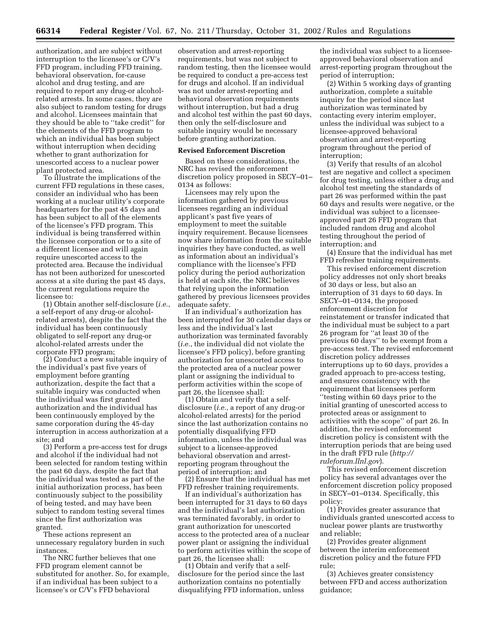authorization, and are subject without interruption to the licensee's or C/V's FFD program, including FFD training, behavioral observation, for-cause alcohol and drug testing, and are required to report any drug-or alcoholrelated arrests. In some cases, they are also subject to random testing for drugs and alcohol. Licensees maintain that they should be able to ''take credit'' for the elements of the FFD program to which an individual has been subject without interruption when deciding whether to grant authorization for unescorted access to a nuclear power plant protected area.

To illustrate the implications of the current FFD regulations in these cases, consider an individual who has been working at a nuclear utility's corporate headquarters for the past 45 days and has been subject to all of the elements of the licensee's FFD program. This individual is being transferred within the licensee corporation or to a site of a different licensee and will again require unescorted access to the protected area. Because the individual has not been authorized for unescorted access at a site during the past 45 days, the current regulations require the licensee to:

(1) Obtain another self-disclosure (*i.e.*, a self-report of any drug-or alcoholrelated arrests), despite the fact that the individual has been continuously obligated to self-report any drug-or alcohol-related arrests under the corporate FFD program;

(2) Conduct a new suitable inquiry of the individual's past five years of employment before granting authorization, despite the fact that a suitable inquiry was conducted when the individual was first granted authorization and the individual has been continuously employed by the same corporation during the 45-day interruption in access authorization at a site; and

(3) Perform a pre-access test for drugs and alcohol if the individual had not been selected for random testing within the past 60 days, despite the fact that the individual was tested as part of the initial authorization process, has been continuously subject to the possibility of being tested, and may have been subject to random testing several times since the first authorization was granted.

These actions represent an unnecessary regulatory burden in such instances.

The NRC further believes that one FFD program element cannot be substituted for another. So, for example, if an individual has been subject to a licensee's or C/V's FFD behavioral

observation and arrest-reporting requirements, but was not subject to random testing, then the licensee would be required to conduct a pre-access test for drugs and alcohol. If an individual was not under arrest-reporting and behavioral observation requirements without interruption, but had a drug and alcohol test within the past 60 days, then only the self-disclosure and suitable inquiry would be necessary before granting authorization.

## **Revised Enforcement Discretion**

Based on these considerations, the NRC has revised the enforcement discretion policy proposed in SECY–01– 0134 as follows:

Licensees may rely upon the information gathered by previous licensees regarding an individual applicant's past five years of employment to meet the suitable inquiry requirement. Because licensees now share information from the suitable inquiries they have conducted, as well as information about an individual's compliance with the licensee's FFD policy during the period authorization is held at each site, the NRC believes that relying upon the information gathered by previous licensees provides adequate safety.

If an individual's authorization has been interrupted for 30 calendar days or less and the individual's last authorization was terminated favorably (*i.e.*, the individual did not violate the licensee's FFD policy), before granting authorization for unescorted access to the protected area of a nuclear power plant or assigning the individual to perform activities within the scope of part 26, the licensee shall:

(1) Obtain and verify that a selfdisclosure (*i.e.*, a report of any drug-or alcohol-related arrests) for the period since the last authorization contains no potentially disqualifying FFD information, unless the individual was subject to a licensee-approved behavioral observation and arrestreporting program throughout the period of interruption; and

(2) Ensure that the individual has met FFD refresher training requirements.

If an individual's authorization has been interrupted for 31 days to 60 days and the individual's last authorization was terminated favorably, in order to grant authorization for unescorted access to the protected area of a nuclear power plant or assigning the individual to perform activities within the scope of part 26, the licensee shall:

(1) Obtain and verify that a selfdisclosure for the period since the last authorization contains no potentially disqualifying FFD information, unless

the individual was subject to a licenseeapproved behavioral observation and arrest-reporting program throughout the period of interruption;

(2) Within 5 working days of granting authorization, complete a suitable inquiry for the period since last authorization was terminated by contacting every interim employer, unless the individual was subject to a licensee-approved behavioral observation and arrest-reporting program throughout the period of interruption;

(3) Verify that results of an alcohol test are negative and collect a specimen for drug testing, unless either a drug and alcohol test meeting the standards of part 26 was performed within the past 60 days and results were negative, or the individual was subject to a licenseeapproved part 26 FFD program that included random drug and alcohol testing throughout the period of interruption; and

(4) Ensure that the individual has met FFD refresher training requirements.

This revised enforcement discretion policy addresses not only short breaks of 30 days or less, but also an interruption of 31 days to 60 days. In SECY–01–0134, the proposed enforcement discretion for reinstatement or transfer indicated that the individual must be subject to a part 26 program for ''at least 30 of the previous 60 days'' to be exempt from a pre-access test. The revised enforcement discretion policy addresses interruptions up to 60 days, provides a graded approach to pre-access testing, and ensures consistency with the requirement that licensees perform ''testing within 60 days prior to the initial granting of unescorted access to protected areas or assignment to activities with the scope'' of part 26. In addition, the revised enforcement discretion policy is consistent with the interruption periods that are being used in the draft FFD rule (*http:// ruleforum.llnl.gov*).

This revised enforcement discretion policy has several advantages over the enforcement discretion policy proposed in SECY–01–0134. Specifically, this policy:

(1) Provides greater assurance that individuals granted unescorted access to nuclear power plants are trustworthy and reliable;

(2) Provides greater alignment between the interim enforcement discretion policy and the future FFD rule;

(3) Achieves greater consistency between FFD and access authorization guidance;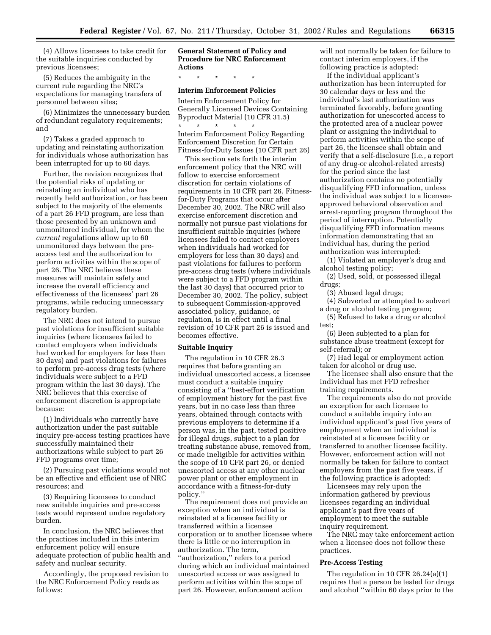(4) Allows licensees to take credit for the suitable inquiries conducted by previous licensees;

(5) Reduces the ambiguity in the current rule regarding the NRC's expectations for managing transfers of personnel between sites;

(6) Minimizes the unnecessary burden of redundant regulatory requirements; and

(7) Takes a graded approach to updating and reinstating authorization for individuals whose authorization has been interrupted for up to 60 days.

Further, the revision recognizes that the potential risks of updating or reinstating an individual who has recently held authorization, or has been subject to the majority of the elements of a part 26 FFD program, are less than those presented by an unknown and unmonitored individual, for whom the *current* regulations allow up to 60 unmonitored days between the preaccess test and the authorization to perform activities within the scope of part 26. The NRC believes these measures will maintain safety and increase the overall efficiency and effectiveness of the licensees' part 26 programs, while reducing unnecessary regulatory burden.

The NRC does not intend to pursue past violations for insufficient suitable inquiries (where licensees failed to contact employers when individuals had worked for employers for less than 30 days) and past violations for failures to perform pre-access drug tests (where individuals were subject to a FFD program within the last 30 days). The NRC believes that this exercise of enforcement discretion is appropriate because:

(1) Individuals who currently have authorization under the past suitable inquiry pre-access testing practices have successfully maintained their authorizations while subject to part 26 FFD programs over time;

(2) Pursuing past violations would not be an effective and efficient use of NRC resources; and

(3) Requiring licensees to conduct new suitable inquiries and pre-access tests would represent undue regulatory burden.

In conclusion, the NRC believes that the practices included in this interim enforcement policy will ensure adequate protection of public health and safety and nuclear security.

Accordingly, the proposed revision to the NRC Enforcement Policy reads as follows:

# **General Statement of Policy and Procedure for NRC Enforcement Actions**

\* \* \* \* \*

# **Interim Enforcement Policies**

Interim Enforcement Policy for Generally Licensed Devices Containing Byproduct Material (10 CFR 31.5) \* \* \* \* \* Interim Enforcement Policy Regarding Enforcement Discretion for Certain Fitness-for-Duty Issues (10 CFR part 26)

This section sets forth the interim enforcement policy that the NRC will follow to exercise enforcement discretion for certain violations of requirements in 10 CFR part 26, Fitnessfor-Duty Programs that occur after December 30, 2002. The NRC will also exercise enforcement discretion and normally not pursue past violations for insufficient suitable inquiries (where licensees failed to contact employers when individuals had worked for employers for less than 30 days) and past violations for failures to perform pre-access drug tests (where individuals were subject to a FFD program within the last 30 days) that occurred prior to December 30, 2002. The policy, subject to subsequent Commission-approved associated policy, guidance, or regulation, is in effect until a final revision of 10 CFR part 26 is issued and becomes effective.

## **Suitable Inquiry**

The regulation in 10 CFR 26.3 requires that before granting an individual unescorted access, a licensee must conduct a suitable inquiry consisting of a ''best-effort verification of employment history for the past five years, but in no case less than three years, obtained through contacts with previous employers to determine if a person was, in the past, tested positive for illegal drugs, subject to a plan for treating substance abuse, removed from, or made ineligible for activities within the scope of 10 CFR part 26, or denied unescorted access at any other nuclear power plant or other employment in accordance with a fitness-for-duty policy.''

The requirement does not provide an exception when an individual is reinstated at a licensee facility or transferred within a licensee corporation or to another licensee where there is little or no interruption in authorization. The term, ''authorization,'' refers to a period during which an individual maintained unescorted access or was assigned to perform activities within the scope of part 26. However, enforcement action

will not normally be taken for failure to contact interim employers, if the following practice is adopted:

If the individual applicant's authorization has been interrupted for 30 calendar days or less and the individual's last authorization was terminated favorably, before granting authorization for unescorted access to the protected area of a nuclear power plant or assigning the individual to perform activities within the scope of part 26, the licensee shall obtain and verify that a self-disclosure (i.e., a report of any drug-or alcohol-related arrests) for the period since the last authorization contains no potentially disqualifying FFD information, unless the individual was subject to a licenseeapproved behavioral observation and arrest-reporting program throughout the period of interruption. Potentially disqualifying FFD information means information demonstrating that an individual has, during the period authorization was interrupted:

(1) Violated an employer's drug and alcohol testing policy;

(2) Used, sold, or possessed illegal drugs;

(3) Abused legal drugs;

(4) Subverted or attempted to subvert a drug or alcohol testing program;

(5) Refused to take a drug or alcohol test; (6) Been subjected to a plan for

substance abuse treatment (except for self-referral); or

(7) Had legal or employment action taken for alcohol or drug use.

The licensee shall also ensure that the individual has met FFD refresher training requirements.

The requirements also do not provide an exception for each licensee to conduct a suitable inquiry into an individual applicant's past five years of employment when an individual is reinstated at a licensee facility or transferred to another licensee facility. However, enforcement action will not normally be taken for failure to contact employers from the past five years, if the following practice is adopted:

Licensees may rely upon the information gathered by previous licensees regarding an individual applicant's past five years of employment to meet the suitable inquiry requirement.

The NRC may take enforcement action when a licensee does not follow these practices.

### **Pre-Access Testing**

The regulation in 10 CFR 26.24(a)(1) requires that a person be tested for drugs and alcohol ''within 60 days prior to the